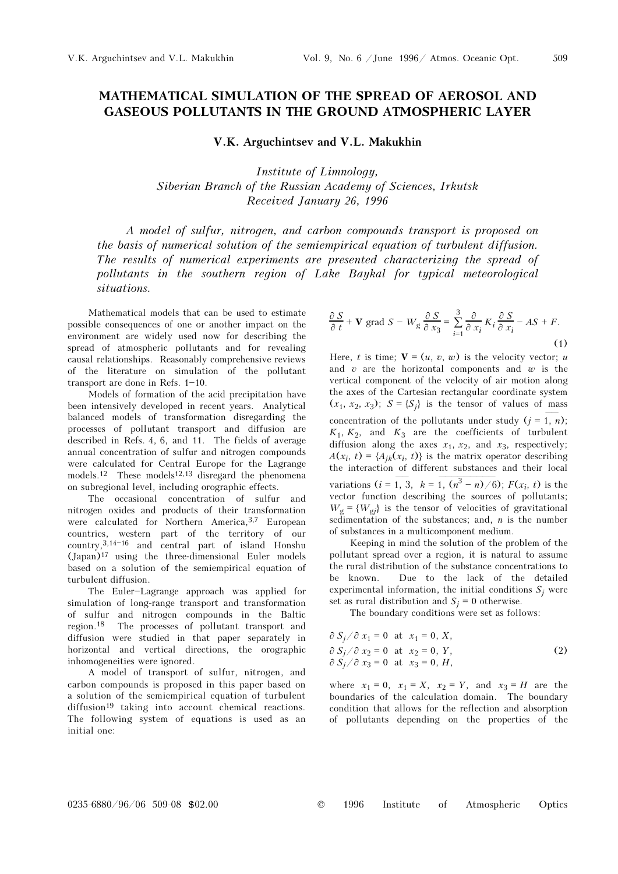## MATHEMATICAL SIMULATION OF THE SPREAD OF AEROSOL AND GASEOUS POLLUTANTS IN THE GROUND ATMOSPHERIC LAYER

V.K. Arguchintsev and V.L. Makukhin

Institute of Limnology, Siberian Branch of the Russian Academy of Sciences, Irkutsk Received January 26, 1996

A model of sulfur, nitrogen, and carbon compounds transport is proposed on the basis of numerical solution of the semiempirical equation of turbulent diffusion. The results of numerical experiments are presented characterizing the spread of pollutants in the southern region of Lake Baykal for typical meteorological situations.

Mathematical models that can be used to estimate possible consequences of one or another impact on the environment are widely used now for describing the spread of atmospheric pollutants and for revealing causal relationships. Reasonably comprehensive reviews of the literature on simulation of the pollutant transport are done in Refs.  $1-10$ .

Models of formation of the acid precipitation have been intensively developed in recent years. Analytical balanced models of transformation disregarding the processes of pollutant transport and diffusion are described in Refs. 4, 6, and 11. The fields of average annual concentration of sulfur and nitrogen compounds were calculated for Central Europe for the Lagrange models.<sup>12</sup> These models<sup>12,13</sup> disregard the phenomena on subregional level, including orographic effects.

The occasional concentration of sulfur and nitrogen oxides and products of their transformation were calculated for Northern America, 3,7 European countries, western part of the territory of our  $country$ ,  $3,14-16$  and central part of island Honshu (Japan)<sup>17</sup> using the three-dimensional Euler models based on a solution of the semiempirical equation of turbulent diffusion.

The Euler-Lagrange approach was applied for simulation of long-range transport and transformation of sulfur and nitrogen compounds in the Baltic region.18 The processes of pollutant transport and diffusion were studied in that paper separately in horizontal and vertical directions, the orographic inhomogeneities were ignored.

A model of transport of sulfur, nitrogen, and carbon compounds is proposed in this paper based on a solution of the semiempirical equation of turbulent diffusion<sup>19</sup> taking into account chemical reactions. The following system of equations is used as an initial one:

$$
\frac{\partial S}{\partial t} + \mathbf{V} \text{ grad } S - W_g \frac{\partial S}{\partial x_3} = \sum_{i=1}^3 \frac{\partial}{\partial x_i} K_i \frac{\partial S}{\partial x_i} - AS + F. \tag{1}
$$

Here, t is time;  $V = (u, v, w)$  is the velocity vector; u and  $v$  are the horizontal components and  $w$  is the vertical component of the velocity of air motion along the axes of the Cartesian rectangular coordinate system  $(x_1, x_2, x_3); S = \{S_i\}$  is the tensor of values of mass concentration of the pollutants under study  $(j = 1, n)$ ;  $K_1, K_2,$  and  $K_3$  are the coefficients of turbulent diffusion along the axes  $x_1$ ,  $x_2$ , and  $x_3$ , respectively;<br>  $A(x, t) = A_x(x, t)$  is the matrix operator describing  $A(x_i, t) = \{A_{ik}(x_i, t)\}\$ is the matrix operator describing the interaction of different substances and their local diffusion along the axes  $x_1$ ,  $x_2$ , and  $x_3$ , respectively;<br>  $A(x_i, t) = {A_{jk}(x_i, t)}$  is the matrix operator describing<br>
the interaction of different substances and their local<br>
variations  $(i = 1, 3, k = 1, (n^3 - n)/6)$ ;  $F(x_i, t)$ vector function describing the sources of pollutants;  $W_g = \{W_{gi}\}\$ is the tensor of velocities of gravitational sedimentation of the substances; and,  $n$  is the number of substances in a multicomponent medium.

Keeping in mind the solution of the problem of the pollutant spread over a region, it is natural to assume the rural distribution of the substance concentrations to be known. Due to the lack of the detailed experimental information, the initial conditions  $S_i$  were set as rural distribution and  $S_i = 0$  otherwise.

The boundary conditions were set as follows:

$$
\partial S_j / \partial x_1 = 0 \text{ at } x_1 = 0, X,
$$
  
\n
$$
\partial S_j / \partial x_2 = 0 \text{ at } x_2 = 0, Y,
$$
  
\n
$$
\partial S_j / \partial x_3 = 0 \text{ at } x_3 = 0, H,
$$
  
\n(2)

where  $x_1 = 0$ ,  $x_1 = X$ ,  $x_2 = Y$ , and  $x_3 = H$  are the boundaries of the calculation domain. The boundary condition that allows for the reflection and absorption of pollutants depending on the properties of the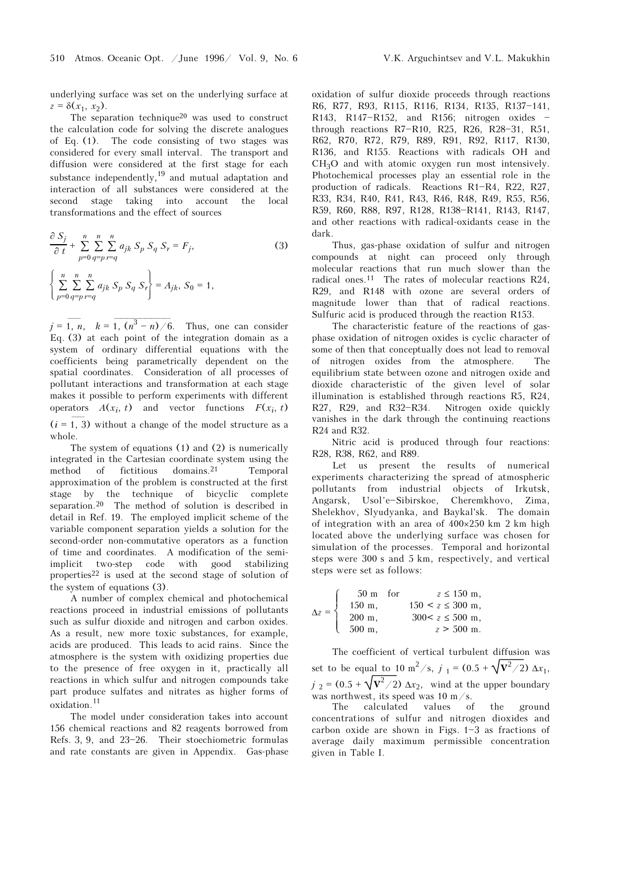underlying surface was set on the underlying surface at  $z = \delta(x_1, x_2).$ 

The separation technique<sup>20</sup> was used to construct the calculation code for solving the discrete analogues of Eq. (1). The code consisting of two stages was considered for every small interval. The transport and diffusion were considered at the first stage for each substance independently,<sup>19</sup> and mutual adaptation and interaction of all substances were considered at the second stage taking into account the local transformations and the effect of sources

$$
\frac{\partial S_j}{\partial t} + \sum_{p=0}^{n} \sum_{q=p}^{n} \sum_{r=q}^{n} a_{jk} S_p S_q S_r = F_j,
$$
\n(3)  
\n
$$
\left\{ \sum_{p=0}^{n} \sum_{q=p}^{n} \sum_{r=q}^{n} a_{jk} S_p S_q S_r \right\} = A_{jk}, S_0 = 1,
$$

 $j = 1, n, k = 1, (n<sup>3</sup> - n) / 6$ . Thus, one can consider Eq. (3) at each point of the integration domain as a system of ordinary differential equations with the coefficients being parametrically dependent on the spatial coordinates. Consideration of all processes of pollutant interactions and transformation at each stage makes it possible to perform experiments with different operators  $A(x_i, t)$  and vector functions  $F(x_i, t)$ pollutan<br>makes it<br>operators<br> $(i = 1, 3)$  $(i = 1, 3)$  without a change of the model structure as a

whole.

The system of equations (1) and (2) is numerically integrated in the Cartesian coordinate system using the method of fictitious domains.<sup>21</sup> Temporal method of fictitious domains.<sup>21</sup> Temporal approximation of the problem is constructed at the first stage by the technique of bicyclic complete separation.20 The method of solution is described in detail in Ref. 19. The employed implicit scheme of the variable component separation yields a solution for the second-order non-commutative operators as a function of time and coordinates. A modification of the semiimplicit two-step code with good stabilizing properties22 is used at the second stage of solution of the system of equations (3).

A number of complex chemical and photochemical reactions proceed in industrial emissions of pollutants such as sulfur dioxide and nitrogen and carbon oxides. As a result, new more toxic substances, for example, acids are produced. This leads to acid rains. Since the atmosphere is the system with oxidizing properties due to the presence of free oxygen in it, practically all reactions in which sulfur and nitrogen compounds take part produce sulfates and nitrates as higher forms of oxidation.11

The model under consideration takes into account 156 chemical reactions and 82 reagents borrowed from Refs. 3, 9, and  $23-26$ . Their stoechiometric formulas and rate constants are given in Appendix. Gas-phase oxidation of sulfur dioxide proceeds through reactions R6, R77, R93, R115, R116, R134, R135, R137-141, R143, R147-R152, and R156; nitrogen oxides  $$ through reactions R7-R10, R25, R26, R28-31, R51, R62, R70, R72, R79, R89, R91, R92, R117, R130, R136, and R155. Reactions with radicals OH and  $CH<sub>3</sub>O$  and with atomic oxygen run most intensively.<br>Photochemical processes play an essential role in the Photochemical processes play an essential role in the

production of radicals. Reactions R1-R4, R22, R27, R33, R34, R40, R41, R43, R46, R48, R49, R55, R56, R59, R60, R88, R97, R128, R138-R141, R143, R147, and other reactions with radical-oxidants cease in the dark.

Thus, gas-phase oxidation of sulfur and nitrogen compounds at night can proceed only through molecular reactions that run much slower than the radical ones.11 The rates of molecular reactions R24, R29, and R148 with ozone are several orders of magnitude lower than that of radical reactions. Sulfuric acid is produced through the reaction R153.

The characteristic feature of the reactions of gasphase oxidation of nitrogen oxides is cyclic character of some of then that conceptually does not lead to removal of nitrogen oxides from the atmosphere. The equilibrium state between ozone and nitrogen oxide and dioxide characteristic of the given level of solar illumination is established through reactions R5, R24,  $R27$ ,  $R29$ , and  $R32-R34$ . Nitrogen oxide quickly vanishes in the dark through the continuing reactions R24 and R32.

Nitric acid is produced through four reactions: R28, R38, R62, and R89.

Let us present the results of numerical experiments characterizing the spread of atmospheric pollutants from industrial objects of Irkutsk, Angarsk, Usol'e-Sibirskoe, Cheremkhovo, Zima, Shelekhov, Slyudyanka, and Baykal'sk. The domain of integration with an area of 400×250 km 2 km high located above the underlying surface was chosen for simulation of the processes. Temporal and horizontal steps were 300 s and 5 km, respectively, and vertical steps were set as follows:

| $\Delta z = \{$ | $50 \text{ m}$ for  | $z \leq 150$ m,        |
|-----------------|---------------------|------------------------|
|                 | $150 \; \text{m}$ , | $150 \le z \le 300$ m. |
|                 | $200 \; \text{m}$ , | $300 < z \le 500$ m.   |
|                 | $1500 \text{ m}$ ,  | $z > 500$ m.           |

The coefficient of vertical turbulent diffusion was set to be equal to 10 m<sup>2</sup>/s,  $j_1 = (0.5 + \sqrt{V^2/2}) \Delta x_1$ ,  $j_2 = (0.5 + \sqrt{V^2/2}) \Delta x_2$ , wind at the upper boundary was northwest, its speed was 10 m/s.

The calculated values of the ground concentrations of sulfur and nitrogen dioxides and carbon oxide are shown in Figs.  $1-3$  as fractions of average daily maximum permissible concentration given in Table I.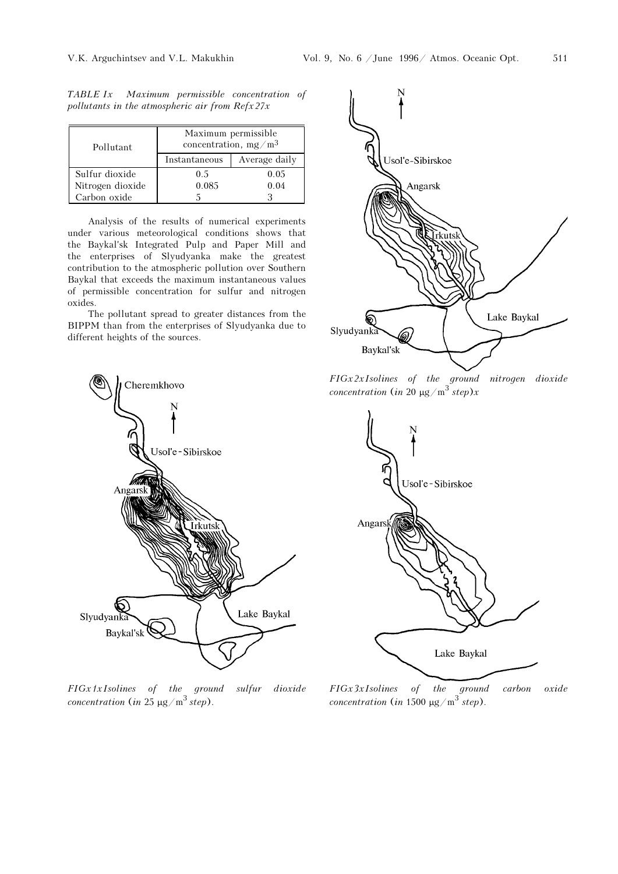| Pollutant        | Maximum permissible<br>concentration, $mg/m3$ |               |  |
|------------------|-----------------------------------------------|---------------|--|
|                  | Instantaneous                                 | Average daily |  |
| Sulfur dioxide   | 0.5                                           | 0.05          |  |
| Nitrogen dioxide | 0.085                                         | 0.04          |  |
| Carbon oxide     |                                               |               |  |

TABLE Ix Maximum permissible concentration of pollutants in the atmospheric air from  $Refx27x$ 

Analysis of the results of numerical experiments under various meteorological conditions shows that the Baykal'sk Integrated Pulp and Paper Mill and the enterprises of Slyudyanka make the greatest contribution to the atmospheric pollution over Southern Baykal that exceeds the maximum instantaneous values of permissible concentration for sulfur and nitrogen oxides.

The pollutant spread to greater distances from the BIPPM than from the enterprises of Slyudyanka due to different heights of the sources.



FIG. 1. Isolines of the ground sulfur dioxide concentration (in 25  $\mu$ g/m<sup>3</sup> step).



FIG. 2. Isolines of the ground nitrogen dioxide concentration (in 20  $\mu$ g/m<sup>3</sup> step)x



FIG. 3. Isolines of the ground carbon oxide concentration (in 1500  $\mu$ g/m<sup>3</sup> step).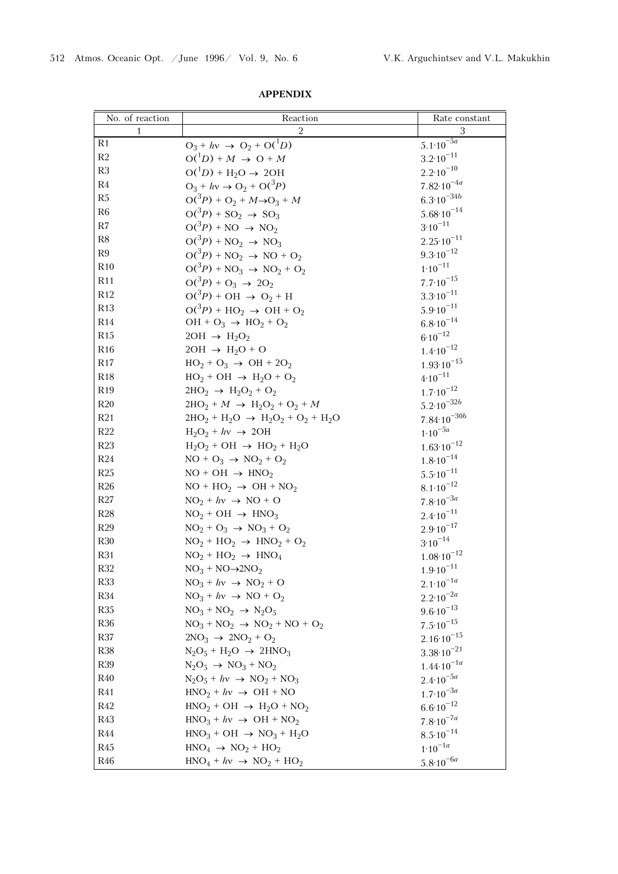| No. of reaction | Reaction                                                       | Rate constant              |
|-----------------|----------------------------------------------------------------|----------------------------|
| 1               | 2                                                              | 3                          |
| R <sub>1</sub>  | $O_3 + hv \rightarrow O_2 + O(^1D)$                            | $5.1 \cdot 10^{-5a}$       |
| R2              | $O(^{1}D) + M \rightarrow O + M$                               | $3.2 \cdot 10^{-11}$       |
| R3              | $O(^{1}D)$ + H <sub>2</sub> O $\rightarrow$ 2OH                | $2.2 \cdot 10^{-10}$       |
| R4              | $O_3 + hv \rightarrow O_2 + O(^3P)$                            | $7.82 \cdot 10^{-4a}$      |
| R5              | $O(^3P) + O_2 + M \rightarrow O_3 + M$                         | $6.3{\cdot}10^{-34b}$      |
| R6              | $O(^3P) + SO_2 \rightarrow SO_3$                               | $5.68 \cdot 10^{-14}$      |
| R7              | $O(^3P) + NO \rightarrow NO_2$                                 | $3.10^{-11}$               |
| R8              | $O(^3P) + NO_2 \rightarrow NO_3$                               | $2.25 \cdot 10^{-11}$      |
| R9              | $O(^3P) + NO_2 \rightarrow NO + O_2$                           | $9.3 \cdot 10^{-12}$       |
| R10             | $O(^3P) + NO_3 \rightarrow NO_2 + O_2$                         | $1.10^{-11}$               |
| R11             | $O(^3P) + O_3 \rightarrow 2O_2$                                | $7.7 \cdot 10^{-15}$       |
| R12             | $O(^3P) + OH \rightarrow O_2 + H$                              | $3.3 \cdot 10^{-11}$       |
| R13             | $O(^3P) + HO_2 \rightarrow OH + O_2$                           | $5.9 \cdot 10^{-11}$       |
| R14             | $OH + O_3 \rightarrow HO_2 + O_2$                              | $6.8 \cdot 10^{-14}$       |
| R15             | $2OH \rightarrow H_2O_2$                                       | $6.10^{-12}$               |
| R16             | $2OH \rightarrow H_2O + O$                                     | $1.4 \cdot 10^{-12}$       |
| R17             | $HO_2 + O_3 \rightarrow OH + 2O_2$                             | $1.93 \cdot 10^{-15}$      |
| R18             | $HO_2 + OH \rightarrow H_2O + O_2$                             | $4.10^{-11}$               |
| R <sub>19</sub> | $2HO_2 \rightarrow H_2O_2 + O_2$                               | $1.7 \cdot 10^{-12}$       |
| R20             | $2HO_2 + M \rightarrow H_2O_2 + O_2 + M$                       | $5.2{\cdot}10^{-32b}$      |
| R21             | $2HO_2 + H_2O \rightarrow H_2O_2 + O_2 + H_2O$                 | $7.84 \cdot 10^{-30b}$     |
| R22             | $H_2O_2 + hv \rightarrow 2OH$                                  | $1.10^{-5a}$               |
| R23             | $H_2O_2$ + OH $\rightarrow$ HO <sub>2</sub> + H <sub>2</sub> O | $1.63 \cdot 10^{-12}$      |
| R24             | $NO + O_3 \rightarrow NO_2 + O_2$                              | $1.8 \cdot 10^{-14}$       |
| R25             | $NO + OH \rightarrow HNO2$                                     | $5.5 \cdot 10^{-11}$       |
| R26             | $NO + HO2 \rightarrow OH + NO2$                                | $8.1 \cdot 10^{-12}$       |
| R27             | $NO2 + hy \rightarrow NO + O$                                  | $7.8 \cdot 10^{-3a}$       |
| R28             | $NO2 + OH \rightarrow HNO3$                                    | $2.4 \cdot 10^{-11}$       |
| R29             | $NO2 + O3 \rightarrow NO3 + O2$                                | $2.9 \cdot 10^{-17}$       |
| R30             | $NO2 + HO2 \rightarrow HNO2 + O2$                              | $3\mathord{\cdot}10^{-14}$ |
| R31             | $NO2 + HO2 \rightarrow HNO4$                                   | $1.08 \cdot 10^{-12}$      |
| <b>R32</b>      | $NO_3 + NO \rightarrow 2NO_2$                                  | $1.9 \cdot 10^{-11}$       |
| <b>R33</b>      | $NO3 + hv \rightarrow NO2 + O$                                 | $2.1 \cdot 10^{-1a}$       |
| R34             | $NO_3 + hv \rightarrow NO + O_2$                               | $2.2 \cdot 10^{-2a}$       |
| <b>R35</b>      | $NO3 + NO2 \rightarrow N2O5$                                   | $9.6 \cdot 10^{-13}$       |
| <b>R36</b>      | $NO3 + NO2 \rightarrow NO2 + NO + O2$                          | $7.5 \cdot 10^{-15}$       |
| R37             | $2NO_3 \rightarrow 2NO_2 + O_2$                                | $2.16 \cdot 10^{-15}$      |
| <b>R38</b>      | $N_2O_5 + H_2O \rightarrow 2HNO_3$                             | $3.38 \cdot 10^{-21}$      |
| <b>R39</b>      | $N_2O_5 \rightarrow NO_3 + NO_2$                               | $1.44 \cdot 10^{-1a}$      |
| R40             | $N_2O_5 + hv \rightarrow NO_2 + NO_3$                          | $2.4 \cdot 10^{-5a}$       |
| R41             | $HNO2 + hy \rightarrow OH + NO$                                | $1.7 \cdot 10^{-3a}$       |
| R42             | $HNO2 + OH \rightarrow H2O + NO2$                              | $6.6 \cdot 10^{-12}$       |
| R43             | $HNO3 + hy \rightarrow OH + NO2$                               | $7.8 \cdot 10^{-7a}$       |
| R44             | $HNO3 + OH \rightarrow NO3 + H2O$                              | $8.5 \cdot 10^{-14}$       |
| R45             | $HNO4 \rightarrow NO2 + HO2$                                   | $1.10^{-1a}$               |
| R46             | $HNO4 + hv \rightarrow NO2 + HO2$                              | $5.8 \cdot 10^{-6a}$       |

APPENDIX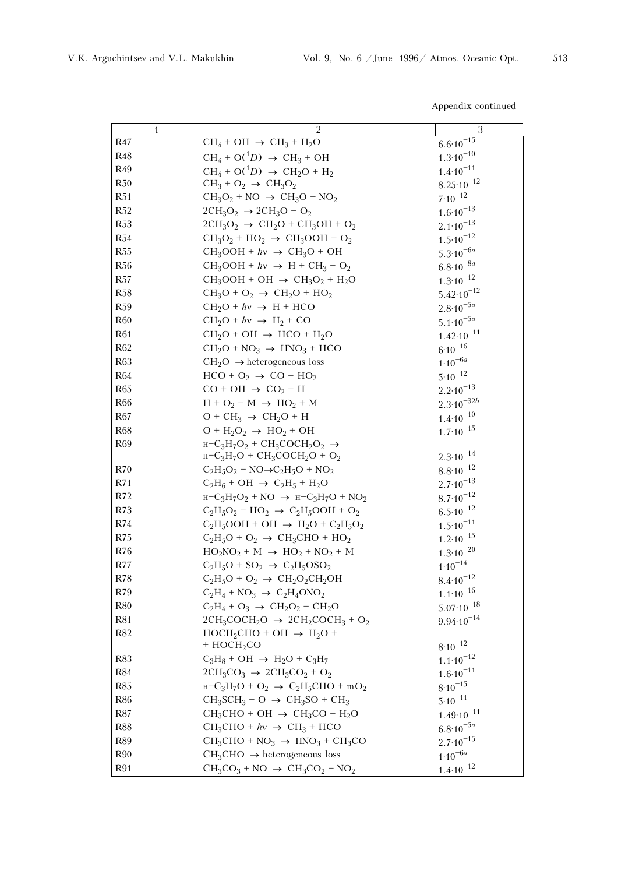| I<br>۰, | I |
|---------|---|
|         |   |

Appendix continued

| 1          | 2                                                                                              | 3                     |
|------------|------------------------------------------------------------------------------------------------|-----------------------|
| R47        | $CH_4 + OH \rightarrow CH_3 + H_2O$                                                            | $6.6 \cdot 10^{-15}$  |
| <b>R48</b> | $CH_4 + O(^1D) \rightarrow CH_3 + OH$                                                          | $1.3 \cdot 10^{-10}$  |
| R49        | $CH_4 + O(^1D) \rightarrow CH_2O + H_2$                                                        | $1.4 \cdot 10^{-11}$  |
| R50        | $CH_3 + O_2 \rightarrow CH_3O_2$                                                               | $8.25 \cdot 10^{-12}$ |
| R51        | $CH_3O_2 + NO \rightarrow CH_3O + NO_2$                                                        | $7\!\cdot\!10^{-12}$  |
| R52        | $2CH_3O_2 \rightarrow 2CH_3O + O_2$                                                            | $1.6 \cdot 10^{-13}$  |
| <b>R53</b> | $2CH_3O_2 \rightarrow CH_2O + CH_3OH + O_2$                                                    | $2.1 \cdot 10^{-13}$  |
| R54        | $CH_3O_2 + HO_2 \rightarrow CH_3OOH + O_2$                                                     | $1.5 \cdot 10^{-12}$  |
| R55        | $CH_3OOH + hv \rightarrow CH_3O + OH$                                                          | $5.3 \cdot 10^{-6a}$  |
| <b>R56</b> | $CH_3OOH + hv \rightarrow H + CH_3 + O_2$                                                      | $6.8 \cdot 10^{-8a}$  |
| R57        | $CH_3OOH + OH \rightarrow CH_3O_2 + H_2O$                                                      | $1.3 \cdot 10^{-12}$  |
| <b>R58</b> | $CH_3O + O_2 \rightarrow CH_2O + HO_2$                                                         | $5.42 \cdot 10^{-12}$ |
| <b>R59</b> | $CH_2O + hv \rightarrow H + HCO$                                                               | $2.8 \cdot 10^{-5a}$  |
| <b>R60</b> | $CH_2O + hv \rightarrow H_2 + CO$                                                              | $5.1 \cdot 10^{-5a}$  |
| <b>R61</b> | $CH_2O + OH \rightarrow HCO + H_2O$                                                            | $1.42 \cdot 10^{-11}$ |
| R62        | $CH_2O + NO_3 \rightarrow HNO_3 + HCO$                                                         | $6.10^{-16}$          |
| <b>R63</b> | $CH2O \rightarrow heterogeneous loss$                                                          | $1.10^{-6a}$          |
| <b>R64</b> | $HCO + O_2 \rightarrow CO + HO_2$                                                              | $5.10^{-12}$          |
| <b>R65</b> | $CO + OH \rightarrow CO_2 + H$                                                                 | $2.2 \cdot 10^{-13}$  |
| <b>R66</b> | $H + O_2 + M \rightarrow HO_2 + M$                                                             | $2.3 \cdot 10^{-32b}$ |
| R67        | $O + CH_3 \rightarrow CH_2O + H$                                                               | $1.4 \cdot 10^{-10}$  |
| <b>R68</b> | $O + H2O2 \rightarrow HO2 + OH$                                                                | $1.7 \cdot 10^{-15}$  |
| <b>R69</b> | $H-C_3H_7O_2 + CH_3COCH_2O_2 \rightarrow$                                                      |                       |
|            | $H-C3H7O + CH3COCH2O + O2$                                                                     | $2.3 \cdot 10^{-14}$  |
| R70        | $C_2H_5O_2 + NO \rightarrow C_2H_5O + NO_2$                                                    | $8.8 \cdot 10^{-12}$  |
| R71        | $C_2H_6 + OH \rightarrow C_2H_5 + H_2O$                                                        | $2.7 \cdot 10^{-13}$  |
| R72        | $H-C_3H_7O_2 + NO \rightarrow H-C_3H_7O + NO_2$                                                | $8.7 \cdot 10^{-12}$  |
| R73        | $C_2H_5O_2$ + HO <sub>2</sub> $\rightarrow$ C <sub>2</sub> H <sub>5</sub> OOH + O <sub>2</sub> | $6.5 \cdot 10^{-12}$  |
| R74        | $C_2H_5OOH + OH \rightarrow H_2O + C_2H_5O_2$                                                  | $1.5 \cdot 10^{-11}$  |
| R75        | $C_2H_5O + O_2 \rightarrow CH_3CHO + HO_2$                                                     | $1.2 \cdot 10^{-15}$  |
| R76        | $HO_2NO_2 + M \rightarrow HO_2 + NO_2 + M$                                                     | $1.3 \cdot 10^{-20}$  |
| R77        | $C_2H_5O + SO_2 \rightarrow C_2H_5OSO_2$                                                       | $1\!\cdot\!10^{-14}$  |
| R78        | $C_2H_5O + O_2 \rightarrow CH_2O_2CH_2OH$                                                      | $8.4 \cdot 10^{-12}$  |
| R79        | $C_2H_4 + NO_3 \rightarrow C_2H_4ONO_2$                                                        | $1.1 \cdot 10^{-16}$  |
| R80        | $C_2H_4 + O_3 \rightarrow CH_2O_2 + CH_2O$                                                     | $5.07 \cdot 10^{-18}$ |
| <b>R81</b> | $2CH_3COCH_2O \rightarrow 2CH_2COCH_3 + O_2$                                                   | $9.94 \cdot 10^{-14}$ |
| R82        | $HOCH_2CHO + OH \rightarrow H_2O +$<br>$+$ HOCH <sub>2</sub> CO                                | $8.10^{-12}$          |
| <b>R83</b> | $C_3H_8$ + OH $\rightarrow$ H <sub>2</sub> O + C <sub>3</sub> H <sub>7</sub>                   | $1.1 \cdot 10^{-12}$  |
| <b>R84</b> | $2CH_3CO_3 \rightarrow 2CH_3CO_2 + O_2$                                                        | $1.6 \cdot 10^{-11}$  |
| <b>R85</b> | $H-C_3H_7O + O_2 \rightarrow C_2H_5CHO + mO_2$                                                 | $8.10^{-15}$          |
| <b>R86</b> | $CH_3SCH_3 + O \rightarrow CH_3SO + CH_3$                                                      | $5.10^{-11}$          |
| R87        | $CH_3CHO + OH \rightarrow CH_3CO + H_2O$                                                       | $1.49 \cdot 10^{-11}$ |
| <b>R88</b> | $CH_3CHO + hv \rightarrow CH_3 + HCO$                                                          | $6.8 \cdot 10^{-5a}$  |
| <b>R89</b> | $CH_3CHO + NO_3 \rightarrow HNO_3 + CH_3CO$                                                    | $2.7 \cdot 10^{-15}$  |
| <b>R90</b> | $CH3CHO \rightarrow heterogeneous loss$                                                        | $1.10^{-6a}$          |
| <b>R91</b> | $CH_3CO_3 + NO \rightarrow CH_3CO_2 + NO_2$                                                    | $1.4 \cdot 10^{-12}$  |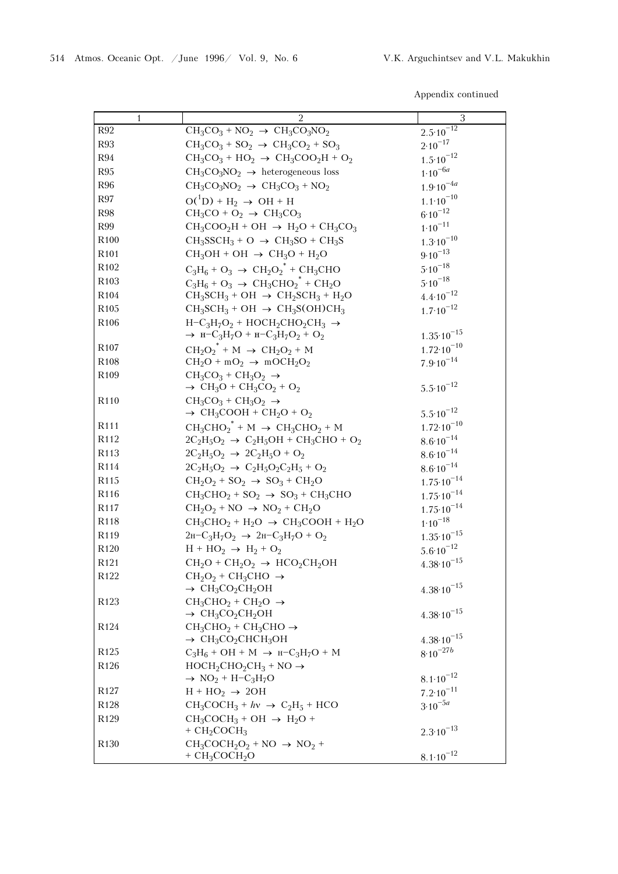## Appendix continued

| 1                                    | 2                                                                                                                 | 3                                     |
|--------------------------------------|-------------------------------------------------------------------------------------------------------------------|---------------------------------------|
| R92                                  | $CH_3CO_3 + NO_2 \rightarrow CH_3CO_3NO_2$                                                                        | $2.5 \cdot 10^{-12}$                  |
| <b>R93</b>                           | $CH_3CO_3 + SO_2 \rightarrow CH_3CO_2 + SO_3$                                                                     | $2.10^{-17}$                          |
| <b>R94</b>                           | $CH_3CO_3 + HO_2 \rightarrow CH_3COO_2H + O_2$                                                                    | $1.5 \cdot 10^{-12}$                  |
| <b>R95</b>                           | $CH_3CO_3NO_2 \rightarrow$ heterogeneous loss                                                                     | $1.10^{-6a}$                          |
| <b>R96</b>                           | $CH_3CO_3NO_2 \rightarrow CH_3CO_3 + NO_2$                                                                        | $1.9 \cdot 10^{-4a}$                  |
| R97                                  | $O(^{1}D) + H_2 \rightarrow OH + H$                                                                               | $1.1 \cdot 10^{-10}$                  |
| <b>R98</b>                           | $CH_3CO + O_2 \rightarrow CH_3CO_3$                                                                               | $6.10^{-12}$                          |
| R99                                  | $CH_3COO_2H + OH \rightarrow H_2O + CH_3CO_3$                                                                     | $1.10^{-11}$                          |
| R <sub>100</sub>                     | $CH_3SCH_3 + O \rightarrow CH_3SO + CH_3S$                                                                        | $1.3 \cdot 10^{-10}$                  |
| R <sub>101</sub>                     | $CH_3OH + OH \rightarrow CH_3O + H_2O$                                                                            | $9.10^{-13}$                          |
| R <sub>102</sub>                     | $C_3H_6 + O_3 \rightarrow CH_2O_2^* + CH_3CHO$                                                                    | $5.10^{-18}$                          |
| R <sub>103</sub>                     | $C_3H_6 + O_3 \rightarrow CH_3CHO_2^* + CH_2O$                                                                    | $5.10^{-18}$                          |
| R <sub>104</sub>                     | $CH_3SCH_3 + OH \rightarrow CH_2SCH_3 + H_2O$                                                                     | $4.4 \cdot 10^{-12}$                  |
| R <sub>105</sub>                     | $CH_3SCH_3 + OH \rightarrow CH_3S(OH)CH_3$                                                                        | $1.7 \cdot 10^{-12}$                  |
| R <sub>106</sub>                     | $H-C_3H_7O_2 + HOCH_2CHO_2CH_3 \rightarrow$                                                                       |                                       |
|                                      | $\rightarrow$ H-C <sub>3</sub> H <sub>7</sub> O + H-C <sub>3</sub> H <sub>7</sub> O <sub>2</sub> + O <sub>2</sub> | $1.35 \cdot 10^{-15}$                 |
| R <sub>107</sub>                     | $CH_2O_2^*$ + M $\rightarrow$ CH <sub>2</sub> O <sub>2</sub> + M                                                  | $1.72 \cdot 10^{-10}$                 |
| R <sub>108</sub>                     | $CH_2O + mO_2 \rightarrow mOCH_2O_2$                                                                              | $7.9 \cdot 10^{-14}$                  |
| R <sub>109</sub>                     | $CH_3CO_3 + CH_3O_2 \rightarrow$                                                                                  |                                       |
|                                      | $\rightarrow$ CH <sub>3</sub> O + CH <sub>3</sub> CO <sub>2</sub> + O <sub>2</sub>                                | $5.5 \cdot 10^{-12}$                  |
| R <sub>110</sub>                     | $CH_3CO_3 + CH_3O_2 \rightarrow$                                                                                  |                                       |
|                                      | $\rightarrow$ CH <sub>3</sub> COOH + CH <sub>2</sub> O + O <sub>2</sub>                                           | $5.5 \cdot 10^{-12}$                  |
| R <sub>111</sub>                     | $CH_3CHO_2^* + M \rightarrow CH_3CHO_2 + M$                                                                       | $1.72 \cdot 10^{-10}$                 |
| R <sub>112</sub><br>R <sub>113</sub> | $2C_2H_5O_2 \rightarrow C_2H_5OH + CH_3CHO + O_2$                                                                 | $8.6 \cdot 10^{-14}$                  |
| R114                                 | $2C_2H_5O_2 \rightarrow 2C_2H_5O + O_2$                                                                           | $8.6 \cdot 10^{-14}$                  |
| R <sub>115</sub>                     | $2C_2H_5O_2 \rightarrow C_2H_5O_2C_2H_5 + O_2$                                                                    | $8.6 \cdot 10^{-14}$                  |
| R116                                 | $CH_2O_2$ + SO <sub>2</sub> $\rightarrow$ SO <sub>3</sub> + CH <sub>2</sub> O                                     | $1.75 \cdot 10^{-14}$                 |
| R <sub>117</sub>                     | $CH_3CHO_2 + SO_2 \rightarrow SO_3 + CH_3CHO$<br>$CH_2O_2 + NO \rightarrow NO_2 + CH_2O$                          | $1.75 \cdot 10^{-14}$                 |
| R118                                 | $CH_3CHO_2 + H_2O \rightarrow CH_3COOH + H_2O$                                                                    | $1.75 \cdot 10^{-14}$<br>$1.10^{-18}$ |
| R119                                 | $2H-C_3H_7O_2 \rightarrow 2H-C_3H_7O + O_2$                                                                       | $1.35 \cdot 10^{-15}$                 |
| R <sub>120</sub>                     | $H + HO2 \rightarrow H2 + O2$                                                                                     | $5.6 \cdot 10^{-12}$                  |
| R <sub>121</sub>                     | $CH_2O + CH_2O_2 \rightarrow HCO_2CH_2OH$                                                                         | $4.38 \cdot 10^{-15}$                 |
| R <sub>122</sub>                     | $CH_2O_2 + CH_3CHO \rightarrow$                                                                                   |                                       |
|                                      | $\rightarrow$ CH <sub>3</sub> CO <sub>2</sub> CH <sub>2</sub> OH                                                  | $4.38 \cdot 10^{-15}$                 |
| R <sub>123</sub>                     | $CH_3CHO_2 + CH_2O \rightarrow$                                                                                   |                                       |
|                                      | $\rightarrow$ CH <sub>3</sub> CO <sub>2</sub> CH <sub>2</sub> OH                                                  | $4.38 \cdot 10^{-15}$                 |
| R <sub>124</sub>                     | $CH_3CHO_2 + CH_3CHO \rightarrow$                                                                                 |                                       |
|                                      | $\rightarrow$ CH <sub>3</sub> CO <sub>2</sub> CHCH <sub>3</sub> OH                                                | $4.38 \cdot 10^{-15}$                 |
| R <sub>125</sub>                     | $C_3H_6$ + OH + M $\rightarrow$ H-C <sub>3</sub> H <sub>7</sub> O + M                                             | $8\!\cdot\!10^{-27b}$                 |
| R <sub>126</sub>                     | $HOCH2CHO2CH3 + NO \rightarrow$                                                                                   |                                       |
|                                      | $\rightarrow$ NO <sub>2</sub> + H-C <sub>3</sub> H <sub>7</sub> O                                                 | $8.1 \cdot 10^{-12}$                  |
| R <sub>127</sub>                     | $H + HO2 \rightarrow 2OH$                                                                                         | $7.2 \cdot 10^{-11}$                  |
| R <sub>128</sub>                     | $CH_3COCH_3 + hy \rightarrow C_2H_5 + HCO$                                                                        | $3.10^{-5a}$                          |
| R129                                 | $CH_3COCH_3 + OH \rightarrow H_2O +$                                                                              |                                       |
|                                      | $+$ CH <sub>2</sub> COCH <sub>3</sub>                                                                             | $2.3 \cdot 10^{-13}$                  |
| R <sub>130</sub>                     | $CH_3COCH_2O_2 + NO \rightarrow NO_2 +$                                                                           |                                       |
|                                      | $+$ CH <sub>3</sub> COCH <sub>2</sub> O                                                                           | $8.1 \cdot 10^{-12}$                  |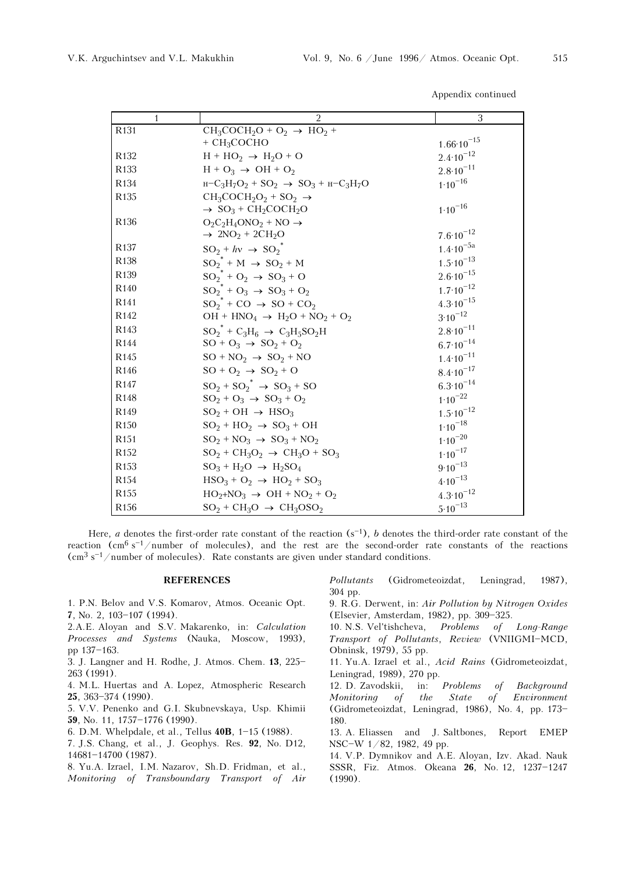| 1                | $\overline{2}$                                                              | 3                     |
|------------------|-----------------------------------------------------------------------------|-----------------------|
| R <sub>131</sub> | $CH_3COCH_2O + O_2 \rightarrow HO_2 +$                                      |                       |
|                  | $+$ CH <sub>3</sub> COCHO                                                   | $1.66 \cdot 10^{-15}$ |
| R <sub>132</sub> | $H + HO2 \rightarrow H2O + O$                                               | $2.4 \cdot 10^{-12}$  |
| R <sub>133</sub> | $H + O_3 \rightarrow OH + O_2$                                              | $2.8 \cdot 10^{-11}$  |
| R <sub>134</sub> | $H-C_3H_7O_2$ + SO <sub>2</sub> $\rightarrow$ SO <sub>3</sub> + $H-C_3H_7O$ | $1.10^{-16}$          |
| R <sub>135</sub> | $CH_3COCH_2O_2 + SO_2 \rightarrow$                                          |                       |
|                  | $\rightarrow$ SO <sub>3</sub> + CH <sub>2</sub> COCH <sub>2</sub> O         | $1.10^{-16}$          |
| R <sub>136</sub> | $O_2C_2H_4ONO_2 + NO \rightarrow$                                           |                       |
|                  | $\rightarrow$ 2NO <sub>2</sub> + 2CH <sub>2</sub> O                         | $7.6 \cdot 10^{-12}$  |
| R <sub>137</sub> | $SO_2 + hv \rightarrow SO_2$ <sup>*</sup>                                   | $1.4 \cdot 10^{-5a}$  |
| <b>R138</b>      | $SO_2^* + M \rightarrow SO_2 + M$                                           | $1.5 \cdot 10^{-13}$  |
| R <sub>139</sub> | $SO_2^* + O_2 \rightarrow SO_3 + O$                                         | $2.6 \cdot 10^{-15}$  |
| R <sub>140</sub> | $SO_2^* + O_3 \rightarrow SO_3 + O_2$                                       | $1.7 \cdot 10^{-12}$  |
| R <sub>141</sub> | $SO_2^*$ + CO $\rightarrow$ SO + CO <sub>2</sub>                            | $4.3 \cdot 10^{-15}$  |
| R <sub>142</sub> | $OH + HNO4 \rightarrow H2O + NO2 + O2$                                      | $3.10^{-12}$          |
| R <sub>143</sub> | $SO_2^* + C_3H_6 \rightarrow C_3H_5SO_2H$                                   | $2.8 \cdot 10^{-11}$  |
| R144             | $SO + O_3 \rightarrow SO_2 + O_2$                                           | $6.7 \cdot 10^{-14}$  |
| R <sub>145</sub> | $SO + NO_2 \rightarrow SO_2 + NO$                                           | $1.4 \cdot 10^{-11}$  |
| R <sub>146</sub> | $SO + O_2 \rightarrow SO_2 + O$                                             | $8.4 \cdot 10^{-17}$  |
| R <sub>147</sub> | $SO_2$ + $SO_2^*$ $\rightarrow$ $SO_3$ + $SO$                               | $6.3 \cdot 10^{-14}$  |
| R <sub>148</sub> | $SO_2 + O_3 \rightarrow SO_3 + O_2$                                         | $1.10^{-22}$          |
| R <sub>149</sub> | $SO_2 + OH \rightarrow HSO_3$                                               | $1.5 \cdot 10^{-12}$  |
| R <sub>150</sub> | $SO_2 + HO_2 \rightarrow SO_3 + OH$                                         | $1.10^{-18}$          |
| R <sub>151</sub> | $SO_2 + NO_3 \rightarrow SO_3 + NO_2$                                       | $1.10^{-20}$          |
| R <sub>152</sub> | $SO_2 + CH_3O_2 \rightarrow CH_3O + SO_3$                                   | $1.10^{-17}$          |
| R <sub>153</sub> | $SO_3 + H_2O \rightarrow H_2SO_4$                                           | $9.10^{-13}$          |
| R <sub>154</sub> | $HSO3 + O2 \rightarrow HO2 + SO3$                                           | $4.10^{-13}$          |
| R <sub>155</sub> | $HO_2 + NO_3 \rightarrow OH + NO_2 + O_2$                                   | $4.3 \cdot 10^{-12}$  |
| R <sub>156</sub> | $SO_2 + CH_3O \rightarrow CH_3OSO_2$                                        | $5.10^{-13}$          |

Here, *a* denotes the first-order rate constant of the reaction  $(s<sup>-1</sup>)$ , *b* denotes the third-order rate constant of the reaction  $(\text{cm}^6 \text{ s}^{-1}/\text{number of molecules})$ , and the rest are the second-order rate constants of the reactions (cm<sup>3</sup> s<sup>-1</sup>/number of molecules). Rate constants are given under standard conditions.

## REFERENCES

- 1. P.N. Belov and V.S. Komarov, Atmos. Oceanic Opt. 7, No. 2,  $103-107$  (1994).
- 2.A.E. Aloyan and S.V. Makarenko, in: Calculation Processes and Systems (Nauka, Moscow, 1993), pp 137-163.
- 3. J. Langner and H. Rodhe, J. Atmos. Chem.  $13$ ,  $225-$ 263 (1991).
- 4. M.L. Huertas and A. Lopez, Atmospheric Research 25, 363-374 (1990).
- 5. V.V. Penenko and G.I. Skubnevskaya, Usp. Khimii 59, No. 11, 1757-1776 (1990).
- 6. D.M. Whelpdale, et al., Tellus 40B, 1-15 (1988).
- 7. J.S. Chang, et al., J. Geophys. Res. 92, No. D12, 14681-14700 (1987).
- 8. Yu.A. Izrael, I.M. Nazarov, Sh.D. Fridman, et al., Monitoring of Transboundary Transport of Air

Pollutants (Gidrometeoizdat, Leningrad, 1987), 304 pp.

9. R.G. Derwent, in: Air Pollution by Nitrogen Oxides (Elsevier, Amsterdam, 1982), pp. 309-325.

10. N.S. Vel'tishcheva, Problems of Long-Range Transport of Pollutants, Review (VNIIGMI-MCD, Obninsk, 1979), 55 pp.

11. Yu.A. Izrael et al., Acid Rains (Gidrometeoizdat, Leningrad, 1989), 270 pp.

12. D. Zavodskii, in: Problems of Background Monitoring of the State of Environment (Gidrometeoizdat, Leningrad, 1986), No. 4, pp. 173-180.

13. A. Eliassen and J. Saltbones, Report EMEP NSC-W 1/82, 1982, 49 pp.

14. V.P. Dymnikov and A.E. Aloyan, Izv. Akad. Nauk SSSR, Fiz. Atmos. Okeana 26, No. 12, 1237-1247 (1990).